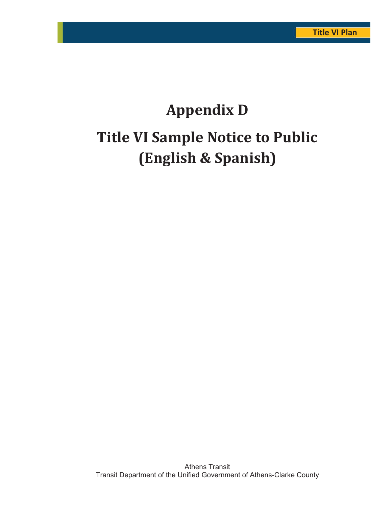# **Appendix D Title VI Sample Notice to Public (English & Spanish)**

Athens Transit Transit Department of the Unified Government of Athens-Clarke County Madison Athens-Clarke Oconee Regional Transportation Study (MACORTS) D-1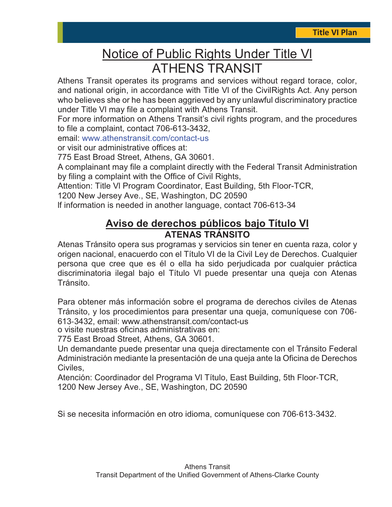# Notice of Public Rights Under Title Vl ATHENS TRANSIT

Athens Transit operates its programs and services without regard torace, color, and national origin, in accordance with Title Vl of the CivilRights Act. Any person who believes she or he has been aggrieved by any unlawful discriminatory practice under Title Vl may file a complaint with Athens Transit.

For more information on Athens Transit's civil rights program, and the procedures to file a complaint, contact 706-613-3432,

email: www.athenstransit.com/contact-us

or visit our administrative offices at:

775 East Broad Street, Athens, GA 30601.

A complainant may file a complaint directly with the Federal Transit Administration by filing a complaint with the Office of Civil Rights,

Attention: Title Vl Program Coordinator, East Building, 5th Floor-TCR,

1200 New Jersey Ave., SE, Washington, DC 20590

lf information is needed in another language, contact 706-613-34

# **Aviso de derechos públicos bajo Título Vl ATENAS TRÁNSITO**

Atenas Tránsito opera sus programas y servicios sin tener en cuenta raza, color y origen nacional, enacuerdo con el Título VI de la Civil Ley de Derechos. Cualquier persona que cree que es él o ella ha sido perjudicada por cualquier práctica discriminatoria ilegal bajo el Título Vl puede presentar una queja con Atenas Tránsito.

Para obtener más información sobre el programa de derechos civiles de Atenas Tránsito, y los procedimientos para presentar una queja, comuníquese con 706-613Ǧ3432, email: [www.athenstransit.com/contact](http://athenstransit.com/contact-us)-us

o visite nuestras oficinas administrativas en:

775 East Broad Street, Athens, GA 30601.

Un demandante puede presentar una queja directamente con el Tránsito Federal Administración mediante la presentación de una queja ante la Oficina de Derechos Civiles,

Atención: Coordinador del Programa VI Título, East Building, 5th Floor-TCR, 1200 New Jersey Ave., SE, Washington, DC 20590

Si se necesita información en otro idioma, comuníquese con 706-613-3432.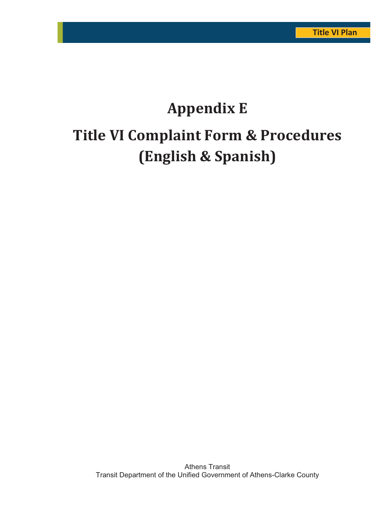# **Appendix E Title VI Complaint Form & Procedures (English & Spanish)**

Athens Transit Transit Department of the Unified Government of Athens-Clarke County Madison Athens-Clarke Oconee Regional Transportation Study (MACORTS) E-1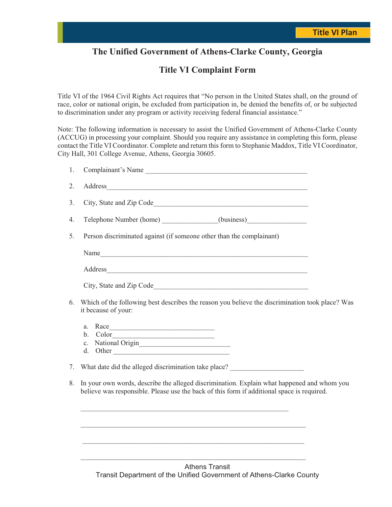## **The Unified Government of Athens-Clarke County, Georgia**

### **Title VI Complaint Form**

Title VI of the 1964 Civil Rights Act requires that "No person in the United States shall, on the ground of race, color or national origin, be excluded from participation in, be denied the benefits of, or be subjected to discrimination under any program or activity receiving federal financial assistance."

Note: The following information is necessary to assist the Unified Government of Athens-Clarke County (ACCUG) in processing your complaint. Should you require any assistance in completing this form, please contact the Title VI Coordinator. Complete and return this form to Stephanie Maddox, Title VI Coordinator, City Hall, 301 College Avenue, Athens, Georgia 30605.

| 1. | Complainant's Name                                                                                                                                                                       |  |
|----|------------------------------------------------------------------------------------------------------------------------------------------------------------------------------------------|--|
| 2. |                                                                                                                                                                                          |  |
| 3. |                                                                                                                                                                                          |  |
| 4. | Telephone Number (home) ______________(business)_________________________________                                                                                                        |  |
| 5. | Person discriminated against (if someone other than the complainant)                                                                                                                     |  |
|    | Name                                                                                                                                                                                     |  |
|    |                                                                                                                                                                                          |  |
|    |                                                                                                                                                                                          |  |
| 6. | Which of the following best describes the reason you believe the discrimination took place? Was<br>it because of your:                                                                   |  |
|    | Race<br>a.<br>$\text{Color}\underline{\hspace{2cm}}$<br>$\mathbf{b}$ .<br>National Origin<br>$\mathbf{c}$ .<br>d.<br>Other                                                               |  |
| 7. | What date did the alleged discrimination take place?                                                                                                                                     |  |
| 8. | In your own words, describe the alleged discrimination. Explain what happened and whom you<br>believe was responsible. Please use the back of this form if additional space is required. |  |
|    |                                                                                                                                                                                          |  |
|    |                                                                                                                                                                                          |  |

Athens Transit Transit Department of the Unified Government of Athens-Clarke County Madison Athens-Clarke Oconee Regional Transportation Study (MACORTS) E-2

 $\mathcal{L}_\text{max} = \mathcal{L}_\text{max} = \mathcal{L}_\text{max} = \mathcal{L}_\text{max} = \mathcal{L}_\text{max} = \mathcal{L}_\text{max} = \mathcal{L}_\text{max} = \mathcal{L}_\text{max} = \mathcal{L}_\text{max} = \mathcal{L}_\text{max} = \mathcal{L}_\text{max} = \mathcal{L}_\text{max} = \mathcal{L}_\text{max} = \mathcal{L}_\text{max} = \mathcal{L}_\text{max} = \mathcal{L}_\text{max} = \mathcal{L}_\text{max} = \mathcal{L}_\text{max} = \mathcal{$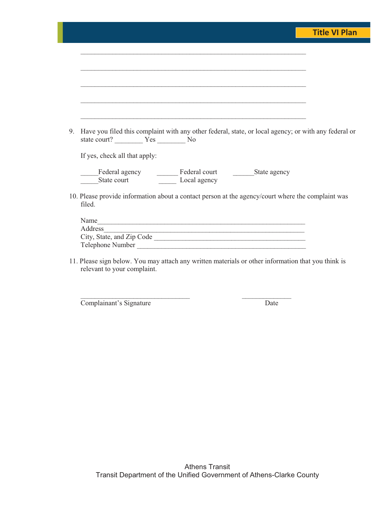|    |                                                                                                             |                                                                                                                      |  | <b>Title VI Plan</b> |
|----|-------------------------------------------------------------------------------------------------------------|----------------------------------------------------------------------------------------------------------------------|--|----------------------|
|    |                                                                                                             |                                                                                                                      |  |                      |
|    |                                                                                                             |                                                                                                                      |  |                      |
|    |                                                                                                             |                                                                                                                      |  |                      |
|    |                                                                                                             |                                                                                                                      |  |                      |
|    |                                                                                                             |                                                                                                                      |  |                      |
|    |                                                                                                             |                                                                                                                      |  |                      |
|    | Have you filed this complaint with any other federal, state, or local agency; or with any federal or        |                                                                                                                      |  |                      |
|    | If yes, check all that apply:                                                                               |                                                                                                                      |  |                      |
|    |                                                                                                             |                                                                                                                      |  |                      |
|    | 10. Please provide information about a contact person at the agency/court where the complaint was<br>filed. |                                                                                                                      |  |                      |
|    |                                                                                                             |                                                                                                                      |  |                      |
|    | Name<br>Address                                                                                             |                                                                                                                      |  |                      |
| 9. | City, State, and Zip Code<br>Telephone Number                                                               | <u> 1989 - Johann John Stone, mension berkenaar di sebagai pertama di sebagai pertama di sebagai pertama di seba</u> |  |                      |

11. Please sign below. You may attach any written materials or other information that you think is relevant to your complaint.

Complainant's Signature Date

\_\_\_\_\_\_\_\_\_\_\_\_\_\_\_\_\_\_\_\_\_\_\_\_\_\_\_\_\_\_\_ \_\_\_\_\_\_\_\_\_\_\_\_\_\_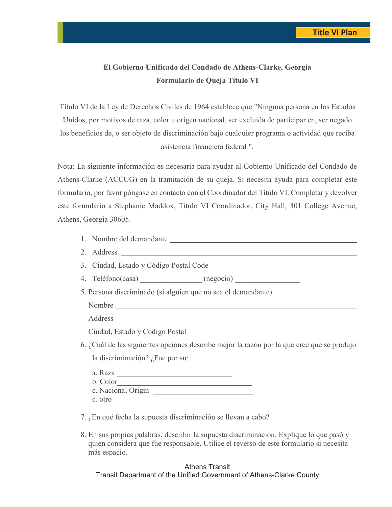## **El Gobierno Unificado del Condado de Athens-Clarke, Georgia Formulario de Queja Título VI**

Título VI de la Ley de Derechos Civiles de 1964 establece que "Ninguna persona en los Estados Unidos, por motivos de raza, color u origen nacional, ser excluida de participar en, ser negado los beneficios de, o ser objeto de discriminación bajo cualquier programa o actividad que reciba asistencia financiera federal ".

Nota: La siguiente información es necesaria para ayudar al Gobierno Unificado del Condado de Athens-Clarke (ACCUG) en la tramitación de su queja. Si necesita ayuda para completar este formulario, por favor póngase en contacto con el Coordinador del Título VI. Completar y devolver este formulario a Stephanie Maddox, Título VI Coordinador, City Hall, 301 College Avenue, Athens, Georgia 30605.

|            | 1. Nombre del demandante |  |
|------------|--------------------------|--|
| 2. Address |                          |  |

3. Ciudad, Estado y Código Postal Code

| 4 | Teléfono(casa) | (negocio) |  |  |
|---|----------------|-----------|--|--|
|---|----------------|-----------|--|--|

5. Persona discriminado (si alguien que no sea el demandante)

Nombre

Address

Ciudad, Estado y Código Postal

6. ¿Cuál de las siguientes opciones describe mejor la razón por la que cree que se produjo la discriminación? ¿Fue por su:

 a. Raza \_\_\_\_\_\_\_\_\_\_\_\_\_\_\_\_\_\_\_\_\_\_\_\_\_\_\_\_\_\_ b. Color\_\_\_\_\_\_\_\_\_\_\_\_\_\_\_\_\_\_\_\_\_\_\_\_\_\_\_\_\_\_\_\_\_\_\_ c. Nacional Origin c. otro

7. ¿En qué fecha la supuesta discriminación se llevan a cabo?

8. En sus propias palabras, describir la supuesta discriminación. Explique lo que pasó y quien considera que fue responsable. Utilice el reverso de este formulario si necesita más espacio.

#### Athens Transit Transit Department of the Unified Government of Athens-Clarke County Madison Athens-Clarke Oconee Regional Transportation Study (MACORTS) E-4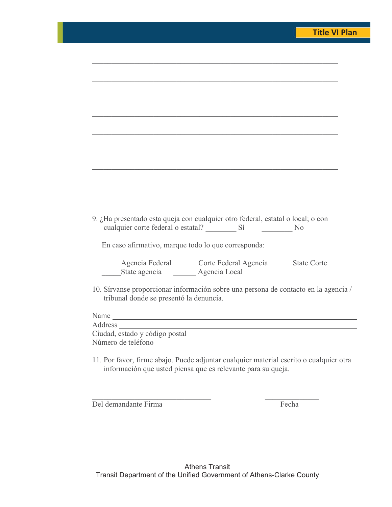| 9. ¿Ha presentado esta queja con cualquier otro federal, estatal o local; o con<br>cualquier corte federal o estatal? Sí No                                                                                                   |
|-------------------------------------------------------------------------------------------------------------------------------------------------------------------------------------------------------------------------------|
|                                                                                                                                                                                                                               |
| En caso afirmativo, marque todo lo que corresponda:                                                                                                                                                                           |
|                                                                                                                                                                                                                               |
| Agencia Federal Corte Federal Agencia ________State Corte                                                                                                                                                                     |
| State agencia ________ Agencia Local                                                                                                                                                                                          |
|                                                                                                                                                                                                                               |
| 10. Sírvanse proporcionar información sobre una persona de contacto en la agencia /<br>tribunal donde se presentó la denuncia.                                                                                                |
|                                                                                                                                                                                                                               |
| Name                                                                                                                                                                                                                          |
| the control of the control of the control of the control of the control of the control of the control of the control of the control of the control of the control of the control of the control of the control of the control |
|                                                                                                                                                                                                                               |
| Número de teléfono                                                                                                                                                                                                            |

 $\mathcal{L}_\mathcal{L} = \{ \mathcal{L}_\mathcal{L} = \{ \mathcal{L}_\mathcal{L} = \{ \mathcal{L}_\mathcal{L} = \{ \mathcal{L}_\mathcal{L} = \{ \mathcal{L}_\mathcal{L} = \{ \mathcal{L}_\mathcal{L} = \{ \mathcal{L}_\mathcal{L} = \{ \mathcal{L}_\mathcal{L} = \{ \mathcal{L}_\mathcal{L} = \{ \mathcal{L}_\mathcal{L} = \{ \mathcal{L}_\mathcal{L} = \{ \mathcal{L}_\mathcal{L} = \{ \mathcal{L}_\mathcal{L} = \{ \mathcal{L}_\mathcal{$ 

11. Por favor, firme abajo. Puede adjuntar cualquier material escrito o cualquier otra información que usted piensa que es relevante para su queja.

Del demandante Firma Fecha

 $\overline{\phantom{a}}$ 

 $\mathcal{L}_\mathcal{L}$  , and the contribution of the contribution of  $\mathcal{L}_\mathcal{L}$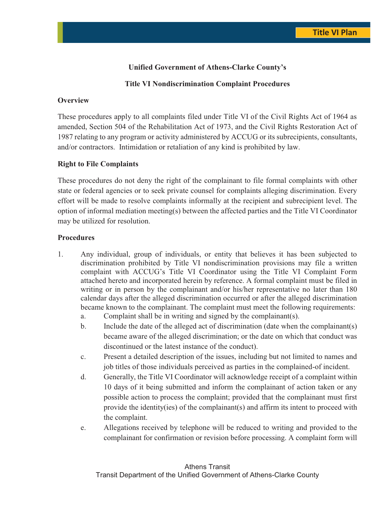#### **Unified Government of Athens-Clarke County's**

#### **Title VI Nondiscrimination Complaint Procedures**

#### **Overview**

These procedures apply to all complaints filed under Title VI of the Civil Rights Act of 1964 as amended, Section 504 of the Rehabilitation Act of 1973, and the Civil Rights Restoration Act of 1987 relating to any program or activity administered by ACCUG or its subrecipients, consultants, and/or contractors. Intimidation or retaliation of any kind is prohibited by law.

#### **Right to File Complaints**

These procedures do not deny the right of the complainant to file formal complaints with other state or federal agencies or to seek private counsel for complaints alleging discrimination. Every effort will be made to resolve complaints informally at the recipient and subrecipient level. The option of informal mediation meeting(s) between the affected parties and the Title VI Coordinator may be utilized for resolution.

#### **Procedures**

- 1. Any individual, group of individuals, or entity that believes it has been subjected to discrimination prohibited by Title VI nondiscrimination provisions may file a written complaint with ACCUG's Title VI Coordinator using the Title VI Complaint Form attached hereto and incorporated herein by reference. A formal complaint must be filed in writing or in person by the complainant and/or his/her representative no later than 180 calendar days after the alleged discrimination occurred or after the alleged discrimination became known to the complainant. The complaint must meet the following requirements:
	- a. Complaint shall be in writing and signed by the complainant(s).
	- b. Include the date of the alleged act of discrimination (date when the complainant(s) became aware of the alleged discrimination; or the date on which that conduct was discontinued or the latest instance of the conduct).
	- c. Present a detailed description of the issues, including but not limited to names and job titles of those individuals perceived as parties in the complained-of incident.
	- d. Generally, the Title VI Coordinator will acknowledge receipt of a complaint within 10 days of it being submitted and inform the complainant of action taken or any possible action to process the complaint; provided that the complainant must first provide the identity(ies) of the complainant(s) and affirm its intent to proceed with the complaint.
	- e. Allegations received by telephone will be reduced to writing and provided to the complainant for confirmation or revision before processing. A complaint form will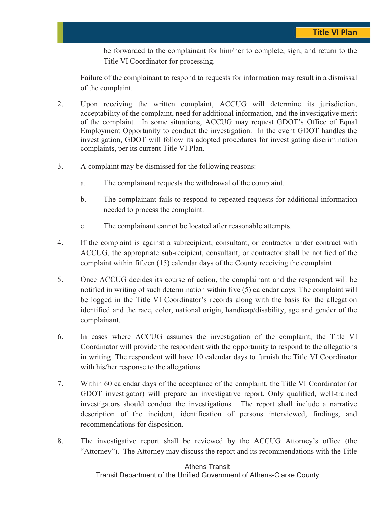be forwarded to the complainant for him/her to complete, sign, and return to the Title VI Coordinator for processing.

Failure of the complainant to respond to requests for information may result in a dismissal of the complaint.

- 2. Upon receiving the written complaint, ACCUG will determine its jurisdiction, acceptability of the complaint, need for additional information, and the investigative merit of the complaint. In some situations, ACCUG may request GDOT's Office of Equal Employment Opportunity to conduct the investigation. In the event GDOT handles the investigation, GDOT will follow its adopted procedures for investigating discrimination complaints, per its current Title VI Plan.
- 3. A complaint may be dismissed for the following reasons:
	- a. The complainant requests the withdrawal of the complaint.
	- b. The complainant fails to respond to repeated requests for additional information needed to process the complaint.
	- c. The complainant cannot be located after reasonable attempts.
- 4. If the complaint is against a subrecipient, consultant, or contractor under contract with ACCUG, the appropriate sub-recipient, consultant, or contractor shall be notified of the complaint within fifteen (15) calendar days of the County receiving the complaint.
- 5. Once ACCUG decides its course of action, the complainant and the respondent will be notified in writing of such determination within five (5) calendar days. The complaint will be logged in the Title VI Coordinator's records along with the basis for the allegation identified and the race, color, national origin, handicap/disability, age and gender of the complainant.
- 6. In cases where ACCUG assumes the investigation of the complaint, the Title VI Coordinator will provide the respondent with the opportunity to respond to the allegations in writing. The respondent will have 10 calendar days to furnish the Title VI Coordinator with his/her response to the allegations.
- 7. Within 60 calendar days of the acceptance of the complaint, the Title VI Coordinator (or GDOT investigator) will prepare an investigative report. Only qualified, well-trained investigators should conduct the investigations. The report shall include a narrative description of the incident, identification of persons interviewed, findings, and recommendations for disposition.
- 8. The investigative report shall be reviewed by the ACCUG Attorney's office (the "Attorney"). The Attorney may discuss the report and its recommendations with the Title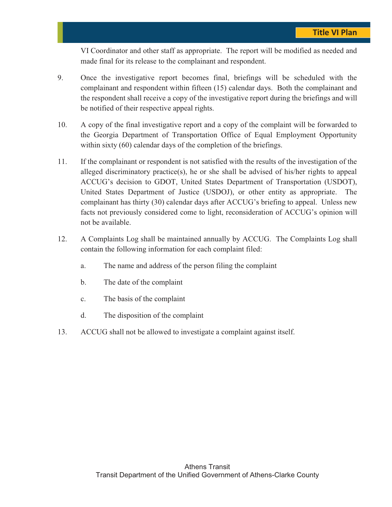VI Coordinator and other staff as appropriate. The report will be modified as needed and made final for its release to the complainant and respondent.

- 9. Once the investigative report becomes final, briefings will be scheduled with the complainant and respondent within fifteen (15) calendar days. Both the complainant and the respondent shall receive a copy of the investigative report during the briefings and will be notified of their respective appeal rights.
- 10. A copy of the final investigative report and a copy of the complaint will be forwarded to the Georgia Department of Transportation Office of Equal Employment Opportunity within sixty (60) calendar days of the completion of the briefings.
- 11. If the complainant or respondent is not satisfied with the results of the investigation of the alleged discriminatory practice(s), he or she shall be advised of his/her rights to appeal ACCUG's decision to GDOT, United States Department of Transportation (USDOT), United States Department of Justice (USDOJ), or other entity as appropriate. The complainant has thirty (30) calendar days after ACCUG's briefing to appeal. Unless new facts not previously considered come to light, reconsideration of ACCUG's opinion will not be available.
- 12. A Complaints Log shall be maintained annually by ACCUG. The Complaints Log shall contain the following information for each complaint filed:
	- a. The name and address of the person filing the complaint
	- b. The date of the complaint
	- c. The basis of the complaint
	- d. The disposition of the complaint
- 13. ACCUG shall not be allowed to investigate a complaint against itself.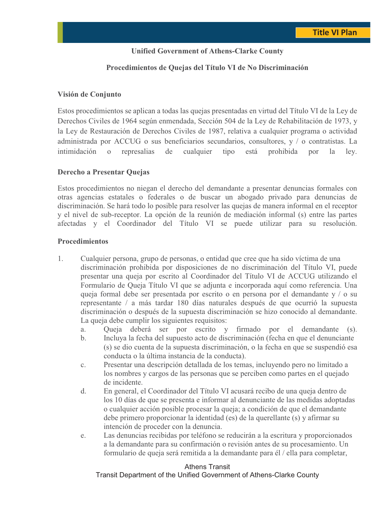#### **Unified Government of Athens-Clarke County**

#### **Procedimientos de Quejas del Título VI de No Discriminación**

#### **Visión de Conjunto**

Estos procedimientos se aplican a todas las quejas presentadas en virtud del Título VI de la Ley de Derechos Civiles de 1964 según enmendada, Sección 504 de la Ley de Rehabilitación de 1973, y la Ley de Restauración de Derechos Civiles de 1987, relativa a cualquier programa o actividad administrada por ACCUG o sus beneficiarios secundarios, consultores, y / o contratistas. La intimidación o represalias de cualquier tipo está prohibida por la ley.

#### **Derecho a Presentar Quejas**

Estos procedimientos no niegan el derecho del demandante a presentar denuncias formales con otras agencias estatales o federales o de buscar un abogado privado para denuncias de discriminación. Se hará todo lo posible para resolver las quejas de manera informal en el receptor y el nivel de sub-receptor. La opción de la reunión de mediación informal (s) entre las partes afectadas y el Coordinador del Título VI se puede utilizar para su resolución.

#### **Procedimientos**

- 1. Cualquier persona, grupo de personas, o entidad que cree que ha sido víctima de una discriminación prohibida por disposiciones de no discriminación del Título VI, puede presentar una queja por escrito al Coordinador del Título VI de ACCUG utilizando el Formulario de Queja Título VI que se adjunta e incorporada aquí como referencia. Una queja formal debe ser presentada por escrito o en persona por el demandante y / o su representante / a más tardar 180 días naturales después de que ocurrió la supuesta discriminación o después de la supuesta discriminación se hizo conocido al demandante. La queja debe cumplir los siguientes requisitos:
	- a. Queja deberá ser por escrito y firmado por el demandante (s).
	- b. Incluya la fecha del supuesto acto de discriminación (fecha en que el denunciante (s) se dio cuenta de la supuesta discriminación, o la fecha en que se suspendió esa conducta o la última instancia de la conducta).
	- c. Presentar una descripción detallada de los temas, incluyendo pero no limitado a los nombres y cargos de las personas que se perciben como partes en el quejado de incidente.
	- d. En general, el Coordinador del Título VI acusará recibo de una queja dentro de los 10 días de que se presenta e informar al denunciante de las medidas adoptadas o cualquier acción posible procesar la queja; a condición de que el demandante debe primero proporcionar la identidad (es) de la querellante (s) y afirmar su intención de proceder con la denuncia.
	- e. Las denuncias recibidas por teléfono se reducirán a la escritura y proporcionados a la demandante para su confirmación o revisión antes de su procesamiento. Un formulario de queja será remitida a la demandante para él / ella para completar,

#### Athens Transit

Transit Department of the Unified Government of Athens-Clarke County Madison Athens-Clarke Oconee Regional Transportation Study (MACORTS) E-9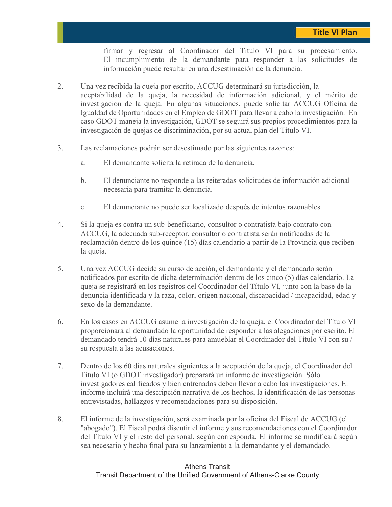firmar y regresar al Coordinador del Título VI para su procesamiento. El incumplimiento de la demandante para responder a las solicitudes de información puede resultar en una desestimación de la denuncia.

- 2. Una vez recibida la queja por escrito, ACCUG determinará su jurisdicción, la aceptabilidad de la queja, la necesidad de información adicional, y el mérito de investigación de la queja. En algunas situaciones, puede solicitar ACCUG Oficina de Igualdad de Oportunidades en el Empleo de GDOT para llevar a cabo la investigación. En caso GDOT maneja la investigación, GDOT se seguirá sus propios procedimientos para la investigación de quejas de discriminación, por su actual plan del Título VI.
- 3. Las reclamaciones podrán ser desestimado por las siguientes razones:
	- a. El demandante solicita la retirada de la denuncia.
	- b. El denunciante no responde a las reiteradas solicitudes de información adicional necesaria para tramitar la denuncia.
	- c. El denunciante no puede ser localizado después de intentos razonables.
- 4. Si la queja es contra un sub-beneficiario, consultor o contratista bajo contrato con ACCUG, la adecuada sub-receptor, consultor o contratista serán notificadas de la reclamación dentro de los quince (15) días calendario a partir de la Provincia que reciben la queja.
- 5. Una vez ACCUG decide su curso de acción, el demandante y el demandado serán notificados por escrito de dicha determinación dentro de los cinco (5) días calendario. La queja se registrará en los registros del Coordinador del Título VI, junto con la base de la denuncia identificada y la raza, color, origen nacional, discapacidad / incapacidad, edad y sexo de la demandante.
- 6. En los casos en ACCUG asume la investigación de la queja, el Coordinador del Título VI proporcionará al demandado la oportunidad de responder a las alegaciones por escrito. El demandado tendrá 10 días naturales para amueblar el Coordinador del Título VI con su / su respuesta a las acusaciones.
- 7. Dentro de los 60 días naturales siguientes a la aceptación de la queja, el Coordinador del Título VI (o GDOT investigador) preparará un informe de investigación. Sólo investigadores calificados y bien entrenados deben llevar a cabo las investigaciones. El informe incluirá una descripción narrativa de los hechos, la identificación de las personas entrevistadas, hallazgos y recomendaciones para su disposición.
- 8. El informe de la investigación, será examinada por la oficina del Fiscal de ACCUG (el "abogado"). El Fiscal podrá discutir el informe y sus recomendaciones con el Coordinador del Título VI y el resto del personal, según corresponda. El informe se modificará según sea necesario y hecho final para su lanzamiento a la demandante y el demandado.

#### Athens Transit Transit Department of the Unified Government of Athens-Clarke County Madison Athens-Clarke Oconee Regional Transportation Study (MACORTS) E-10